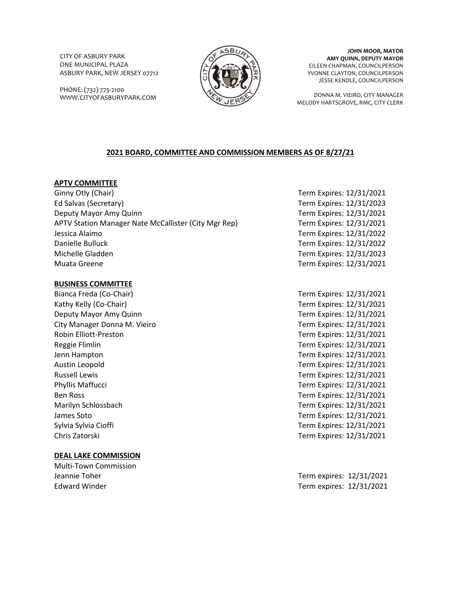CITY OF ASBURY PARK ONE MUNICIPAL PLAZA ASBURY PARK, NEW JERSEY 07712

PHONE: (732) 775-2100 WWW.CITYOFASBURYPARK.COM



**JOHN MOOR, MAYOR AMY QUINN, DEPUTY MAYOR** EILEEN CHAPMAN, COUNCILPERSON YVONNE CLAYTON, COUNCILPERSON JESSE KENDLE, COUNCILPERSON

DONNA M. VIEIRO, CITY MANAGER MELODY HARTSGROVE, RMC, CITY CLERK

# **2021 BOARD, COMMITTEE AND COMMISSION MEMBERS AS OF 8/27/21**

# **APTV COMMITTEE**

Ginny Otly (Chair) **Term Expires: 12/31/2021** Ed Salvas (Secretary) Term Expires: 12/31/2023 Deputy Mayor Amy Quinn Term Expires: 12/31/2021 APTV Station Manager Nate McCallister (City Mgr Rep) Term Expires: 12/31/2021 Jessica Alaimo Term Expires: 12/31/2022 Danielle Bulluck Term Expires: 12/31/2022 Michelle Gladden Term Expires: 12/31/2023 Muata Greene Term Expires: 12/31/2021

#### **BUSINESS COMMITTEE**

Kathy Kelly (Co-Chair) **Term Expires: 12/31/2021** Deputy Mayor Amy Quinn Term Expires: 12/31/2021 City Manager Donna M. Vieiro **Term Expires: 12/31/2021** Robin Elliott-Preston Term Expires: 12/31/2021 Reggie Flimlin Term Expires: 12/31/2021 Jenn Hampton Term Expires: 12/31/2021 Austin Leopold Term Expires: 12/31/2021 Russell Lewis Term Expires: 12/31/2021 Phyllis Maffucci **Term Expires: 12/31/2021** Term Expires: 12/31/2021 Ben Ross Term Expires: 12/31/2021 Marilyn Schlossbach Term Expires: 12/31/2021 James Soto **Term Expires:** 12/31/2021 Sylvia Sylvia Cioffi **Term Expires: 12/31/2021** Chris Zatorski Term Expires: 12/31/2021

# **DEAL LAKE COMMISSION**

Multi-Town Commission

Bianca Freda (Co-Chair) Term Expires: 12/31/2021

Jeannie Toher **Term expires:** 12/31/2021 Edward Winder **Term expires:** 12/31/2021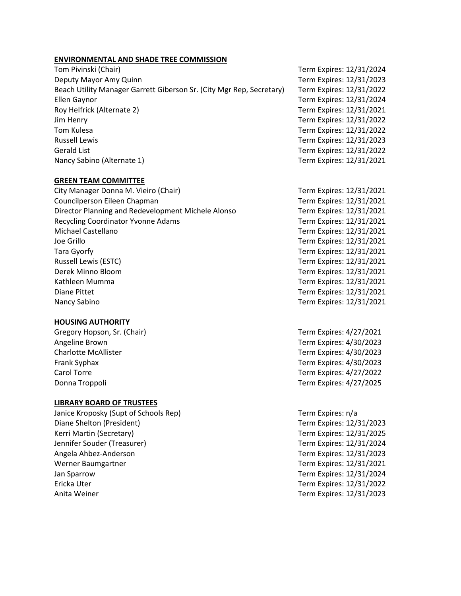# **ENVIRONMENTAL AND SHADE TREE COMMISSION**

Tom Pivinski (Chair) Term Expires: 12/31/2024 Deputy Mayor Amy Quinn Term Expires: 12/31/2023 Beach Utility Manager Garrett Giberson Sr. (City Mgr Rep, Secretary) Term Expires: 12/31/2022 Ellen Gaynor Term Expires: 12/31/2024 Roy Helfrick (Alternate 2) Term Expires: 12/31/2021 Jim Henry Term Expires: 12/31/2022 Tom Kulesa Term Expires: 12/31/2022 Russell Lewis Term Expires: 12/31/2023 Gerald List Term Expires: 12/31/2022 Nancy Sabino (Alternate 1) Term Expires: 12/31/2021

# **GREEN TEAM COMMITTEE**

City Manager Donna M. Vieiro (Chair) Term Expires: 12/31/2021 Councilperson Eileen Chapman Term Expires: 12/31/2021 Director Planning and Redevelopment Michele Alonso Term Expires: 12/31/2021 Recycling Coordinator Yvonne Adams Term Expires: 12/31/2021 Michael Castellano Term Expires: 12/31/2021 Joe Grillo Term Expires: 12/31/2021 Tara Gyorfy Term Expires: 12/31/2021 Russell Lewis (ESTC) Term Expires: 12/31/2021 Derek Minno Bloom Term Expires: 12/31/2021 Kathleen Mumma Term Expires: 12/31/2021 Diane Pittet Term Expires: 12/31/2021 Nancy Sabino Term Expires: 12/31/2021

# **HOUSING AUTHORITY**

Gregory Hopson, Sr. (Chair) Term Expires: 4/27/2021 Angeline Brown Term Expires: 4/30/2023 Charlotte McAllister Term Expires: 4/30/2023 Frank Syphax Term Expires: 4/30/2023 Carol Torre Term Expires: 4/27/2022 Donna Troppoli Term Expires: 4/27/2025

# **LIBRARY BOARD OF TRUSTEES**

Janice Kroposky (Supt of Schools Rep) Term Expires: n/a Diane Shelton (President) Term Expires: 12/31/2023 Kerri Martin (Secretary) Term Expires: 12/31/2025 Jennifer Souder (Treasurer) Term Expires: 12/31/2024 Angela Ahbez-Anderson Term Expires: 12/31/2023 Werner Baumgartner Term Expires: 12/31/2021 Jan Sparrow Term Expires: 12/31/2024 Ericka Uter Term Expires: 12/31/2022 Anita Weiner Term Expires: 12/31/2023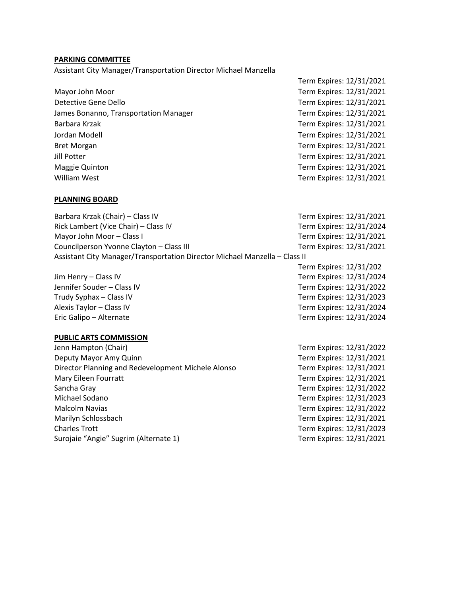# **PARKING COMMITTEE**

Assistant City Manager/Transportation Director Michael Manzella

Mayor John Moor **Term Expires: 12/31/2021** Detective Gene Dello Term Expires: 12/31/2021 James Bonanno, Transportation Manager Term Expires: 12/31/2021 Barbara Krzak Term Expires: 12/31/2021 Jordan Modell Term Expires: 12/31/2021 Bret Morgan Term Expires: 12/31/2021 Jill Potter Term Expires: 12/31/2021 Maggie Quinton Term Expires: 12/31/2021 William West **Term Expires: 12/31/2021** 

#### **PLANNING BOARD**

Barbara Krzak (Chair) – Class IV Term Expires: 12/31/2021 Rick Lambert (Vice Chair) – Class IV Term Expires: 12/31/2024 Mayor John Moor – Class I Term Expires: 12/31/2021 Councilperson Yvonne Clayton – Class III Term Expires: 12/31/2021 Assistant City Manager/Transportation Director Michael Manzella – Class II

#### **PUBLIC ARTS COMMISSION**

Jenn Hampton (Chair) Term Expires: 12/31/2022 Deputy Mayor Amy Quinn Term Expires: 12/31/2021 Director Planning and Redevelopment Michele Alonso Term Expires: 12/31/2021 Mary Eileen Fourratt **Term Expires: 12/31/2021** Sancha Gray Term Expires: 12/31/2022 Michael Sodano Term Expires: 12/31/2023 Malcolm Navias Term Expires: 12/31/2022 Marilyn Schlossbach Term Expires: 12/31/2021 Charles Trott Term Expires: 12/31/2023 Surojaie "Angie" Sugrim (Alternate 1) Term Expires: 12/31/2021

Term Expires: 12/31/2021

Term Expires: 12/31/202

Jim Henry – Class IV **Term Expires: 12/31/2024** Jennifer Souder – Class IV Term Expires: 12/31/2022 Trudy Syphax – Class IV **Term Expires: 12/31/2023** Alexis Taylor – Class IV Term Expires: 12/31/2024 Eric Galipo – Alternate Term Expires: 12/31/2024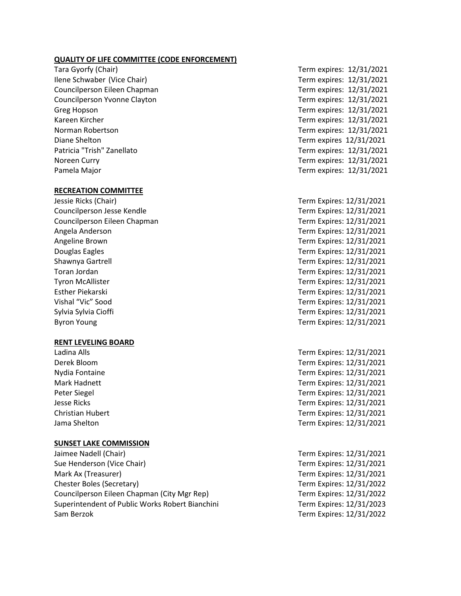#### **QUALITY OF LIFE COMMITTEE (CODE ENFORCEMENT)**

Tara Gyorfy (Chair) Term expires: 12/31/2021 Ilene Schwaber (Vice Chair) Term expires: 12/31/2021 Councilperson Eileen Chapman Term expires: 12/31/2021 Councilperson Yvonne Clayton Term expires: 12/31/2021 Greg Hopson **Term expires:** 12/31/2021 Kareen Kircher Term expires: 12/31/2021 Norman Robertson Term expires: 12/31/2021 Diane Shelton Term expires 12/31/2021 Patricia "Trish" Zanellato **Term expires: 12/31/2021** Noreen Curry **Term expires: 12/31/2021** Pamela Major **Pamela Major** Pamela Major **Term expires: 12/31/2021** 

### **RECREATION COMMITTEE**

Councilperson Jesse Kendle Term Expires: 12/31/2021 Councilperson Eileen Chapman Term Expires: 12/31/2021 Angela Anderson Term Expires: 12/31/2021 Angeline Brown Term Expires: 12/31/2021 Douglas Eagles Term Expires: 12/31/2021 Shawnya Gartrell Term Expires: 12/31/2021 Toran Jordan Term Expires: 12/31/2021 Tyron McAllister Term Expires: 12/31/2021 Esther Piekarski Term Expires: 12/31/2021 Vishal "Vic" Sood Term Expires: 12/31/2021 Sylvia Sylvia Cioffi **Term Expires: 12/31/2021** Byron Young **Term Expires: 12/31/2021** 

#### **RENT LEVELING BOARD**

#### **SUNSET LAKE COMMISSION**

Jaimee Nadell (Chair) Term Expires: 12/31/2021 Sue Henderson (Vice Chair) Term Expires: 12/31/2021 Mark Ax (Treasurer) Term Expires: 12/31/2021 Chester Boles (Secretary) Term Expires: 12/31/2022 Councilperson Eileen Chapman (City Mgr Rep) Term Expires: 12/31/2022 Superintendent of Public Works Robert Bianchini Term Expires: 12/31/2023 Sam Berzok Term Expires: 12/31/2022

Jessie Ricks (Chair) Term Expires: 12/31/2021

Ladina Alls Term Expires: 12/31/2021 Derek Bloom Term Expires: 12/31/2021 Nydia Fontaine Term Expires: 12/31/2021 Mark Hadnett **Term Expires: 12/31/2021** Peter Siegel Term Expires: 12/31/2021 Jesse Ricks Term Expires: 12/31/2021 Christian Hubert Term Expires: 12/31/2021 Jama Shelton Term Expires: 12/31/2021